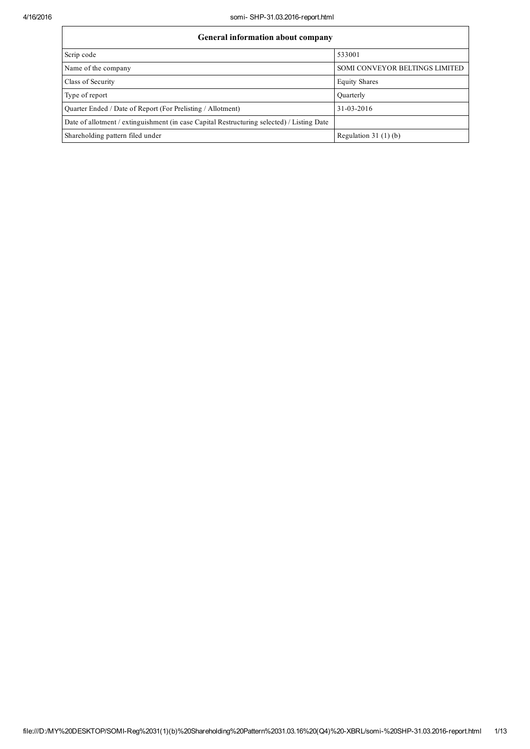| <b>General information about company</b>                                                   |                                |  |  |  |  |  |  |
|--------------------------------------------------------------------------------------------|--------------------------------|--|--|--|--|--|--|
| Scrip code                                                                                 | 533001                         |  |  |  |  |  |  |
| Name of the company                                                                        | SOMI CONVEYOR BELTINGS LIMITED |  |  |  |  |  |  |
| Class of Security                                                                          | <b>Equity Shares</b>           |  |  |  |  |  |  |
| Type of report                                                                             | Quarterly                      |  |  |  |  |  |  |
| Quarter Ended / Date of Report (For Prelisting / Allotment)                                | 31-03-2016                     |  |  |  |  |  |  |
| Date of allotment / extinguishment (in case Capital Restructuring selected) / Listing Date |                                |  |  |  |  |  |  |
| Shareholding pattern filed under                                                           | Regulation $31(1)(b)$          |  |  |  |  |  |  |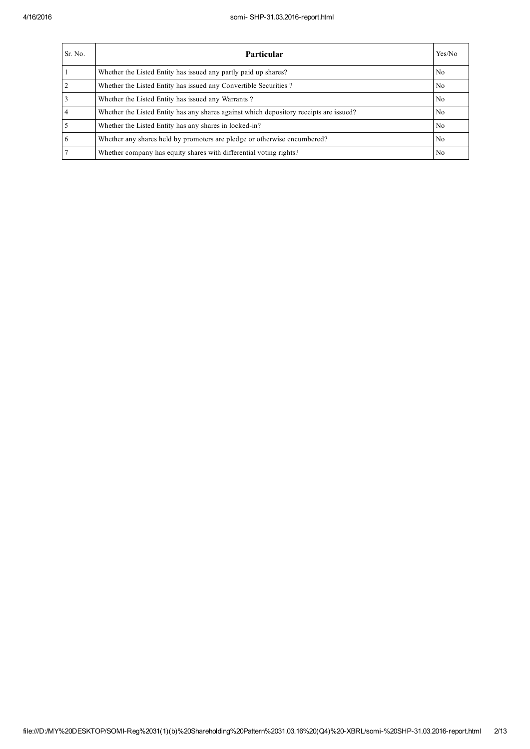| Sr. No. | <b>Particular</b>                                                                      | Yes/No         |
|---------|----------------------------------------------------------------------------------------|----------------|
|         | Whether the Listed Entity has issued any partly paid up shares?                        | N <sub>0</sub> |
|         | Whether the Listed Entity has issued any Convertible Securities?                       | N <sub>0</sub> |
|         | Whether the Listed Entity has issued any Warrants?                                     | N <sub>0</sub> |
|         | Whether the Listed Entity has any shares against which depository receipts are issued? | N <sub>0</sub> |
|         | Whether the Listed Entity has any shares in locked-in?                                 | N <sub>0</sub> |
| 6       | Whether any shares held by promoters are pledge or otherwise encumbered?               | N <sub>0</sub> |
|         | Whether company has equity shares with differential voting rights?                     | N <sub>0</sub> |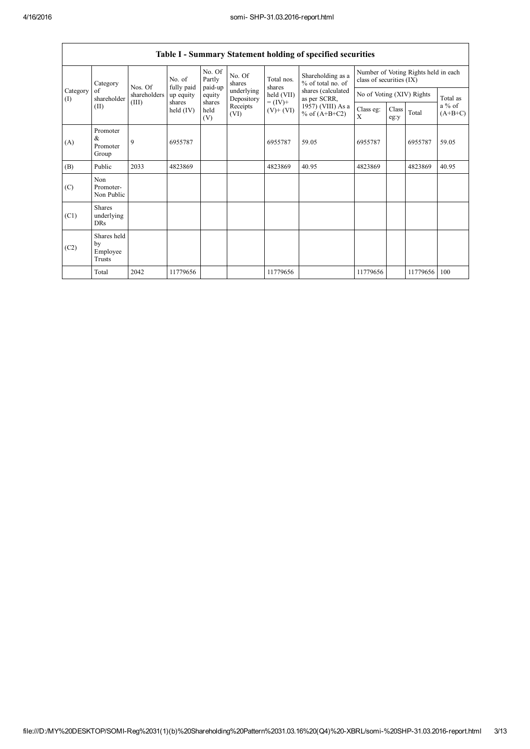$\mathsf{T}$ 

٦

|                 |                                         |                                  |                                   |                             |                          |                                                                    | Table I - Summary Statement holding of specified securities |                                                                  |               |          |                                 |
|-----------------|-----------------------------------------|----------------------------------|-----------------------------------|-----------------------------|--------------------------|--------------------------------------------------------------------|-------------------------------------------------------------|------------------------------------------------------------------|---------------|----------|---------------------------------|
|                 | Category<br>of<br>shareholder<br>(II)   | Nos. Of<br>shareholders<br>(III) | No. of<br>fully paid<br>up equity | No. Of<br>Partly<br>paid-up | No. Of<br>shares         | Total nos.<br>shares<br>held (VII)<br>$= (IV) +$<br>$(V)$ + $(VI)$ | Shareholding as a<br>% of total no. of                      | Number of Voting Rights held in each<br>class of securities (IX) |               |          |                                 |
| Category<br>(I) |                                         |                                  |                                   | equity<br>shares            | underlying<br>Depository |                                                                    | shares (calculated<br>as per SCRR,                          | No of Voting (XIV) Rights                                        |               |          | Total as<br>a % of<br>$(A+B+C)$ |
|                 |                                         |                                  | shares<br>held $(IV)$             | held<br>(V)                 | Receipts<br>(VI)         |                                                                    | 1957) (VIII) As a<br>% of $(A+B+C2)$                        | Class eg:<br>$\mathbf{x}$                                        | Class<br>eg:y | Total    |                                 |
| (A)             | Promoter<br>&<br>Promoter<br>Group      | 9                                | 6955787                           |                             |                          | 6955787                                                            | 59.05                                                       | 6955787                                                          |               | 6955787  | 59.05                           |
| (B)             | Public                                  | 2033                             | 4823869                           |                             |                          | 4823869                                                            | 40.95                                                       | 4823869                                                          |               | 4823869  | 40.95                           |
| (C)             | Non<br>Promoter-<br>Non Public          |                                  |                                   |                             |                          |                                                                    |                                                             |                                                                  |               |          |                                 |
| (C1)            | <b>Shares</b><br>underlying<br>DRs      |                                  |                                   |                             |                          |                                                                    |                                                             |                                                                  |               |          |                                 |
| (C2)            | Shares held<br>by<br>Employee<br>Trusts |                                  |                                   |                             |                          |                                                                    |                                                             |                                                                  |               |          |                                 |
|                 | Total                                   | 2042                             | 11779656                          |                             |                          | 11779656                                                           |                                                             | 11779656                                                         |               | 11779656 | 100                             |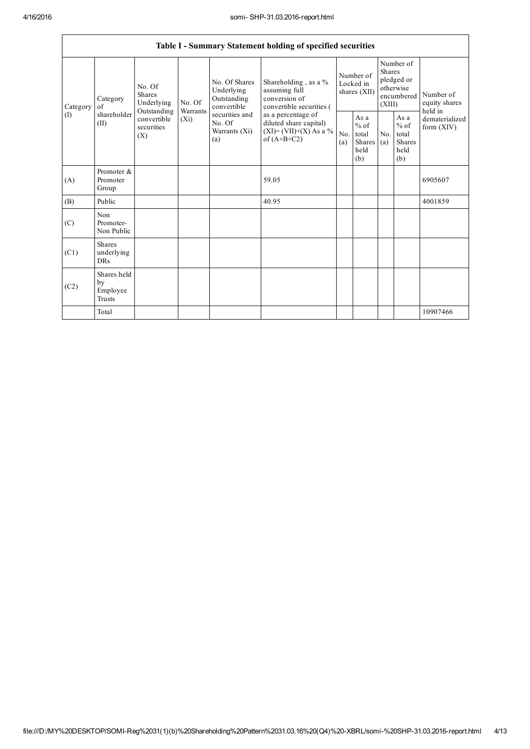|                 | Table I - Summary Statement holding of specified securities |                                                                                   |                    |                                                           |                                                                                                                                                                                |                                        |                                                  |                                                                               |                                                         |                                       |
|-----------------|-------------------------------------------------------------|-----------------------------------------------------------------------------------|--------------------|-----------------------------------------------------------|--------------------------------------------------------------------------------------------------------------------------------------------------------------------------------|----------------------------------------|--------------------------------------------------|-------------------------------------------------------------------------------|---------------------------------------------------------|---------------------------------------|
| Category<br>(1) | Category<br>of<br>shareholder<br>(II)                       | No. Of<br>Shares<br>Underlying<br>Outstanding<br>convertible<br>securities<br>(X) | No. Of<br>Warrants | No. Of Shares<br>Underlying<br>Outstanding<br>convertible | Shareholding, as a %<br>assuming full<br>conversion of<br>convertible securities (<br>as a percentage of<br>diluted share capital)<br>$(XI)=(VII)+(X) As a %$<br>of $(A+B+C2)$ | Number of<br>Locked in<br>shares (XII) |                                                  | Number of<br><b>Shares</b><br>pledged or<br>otherwise<br>encumbered<br>(XIII) |                                                         | Number of<br>equity shares<br>held in |
|                 |                                                             |                                                                                   | $(X_i)$            | securities and<br>No. Of<br>Warrants (Xi)<br>(a)          |                                                                                                                                                                                | No.<br>(a)                             | As a<br>$%$ of<br>total<br>Shares<br>held<br>(b) | No.<br>(a)                                                                    | As a<br>$%$ of<br>total<br><b>Shares</b><br>held<br>(b) | dematerialized<br>form $(XIV)$        |
| (A)             | Promoter &<br>Promoter<br>Group                             |                                                                                   |                    |                                                           | 59.05                                                                                                                                                                          |                                        |                                                  |                                                                               |                                                         | 6905607                               |
| (B)             | Public                                                      |                                                                                   |                    |                                                           | 40.95                                                                                                                                                                          |                                        |                                                  |                                                                               |                                                         | 4001859                               |
| (C)             | Non<br>Promoter-<br>Non Public                              |                                                                                   |                    |                                                           |                                                                                                                                                                                |                                        |                                                  |                                                                               |                                                         |                                       |
| (C1)            | <b>Shares</b><br>underlying<br><b>DRs</b>                   |                                                                                   |                    |                                                           |                                                                                                                                                                                |                                        |                                                  |                                                                               |                                                         |                                       |
| (C2)            | Shares held<br>by<br>Employee<br><b>Trusts</b>              |                                                                                   |                    |                                                           |                                                                                                                                                                                |                                        |                                                  |                                                                               |                                                         |                                       |
|                 | Total                                                       |                                                                                   |                    |                                                           |                                                                                                                                                                                |                                        |                                                  |                                                                               |                                                         | 10907466                              |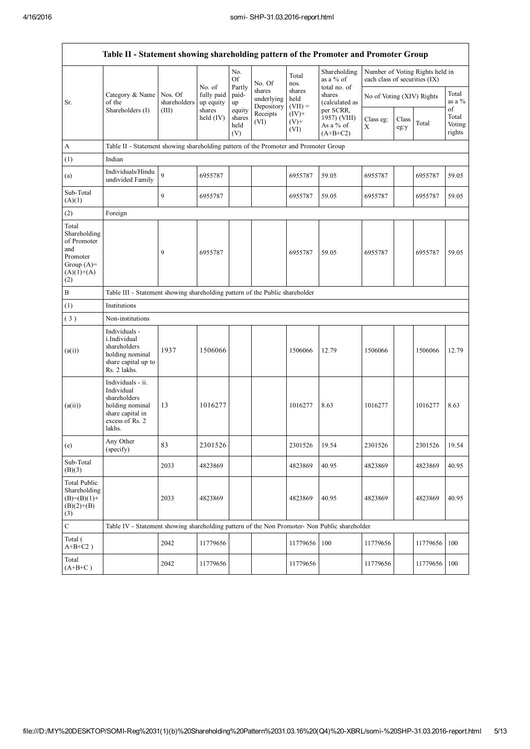|                                                                                                | Table II - Statement showing shareholding pattern of the Promoter and Promoter Group                                |                                                                              |                                   |                                 |                                    |                             |                                                        |                               |               |                                 |                           |
|------------------------------------------------------------------------------------------------|---------------------------------------------------------------------------------------------------------------------|------------------------------------------------------------------------------|-----------------------------------|---------------------------------|------------------------------------|-----------------------------|--------------------------------------------------------|-------------------------------|---------------|---------------------------------|---------------------------|
|                                                                                                |                                                                                                                     |                                                                              |                                   | No.<br><b>Of</b>                | No. Of                             | Total<br>nos.               | Shareholding<br>as a $%$ of                            | each class of securities (IX) |               | Number of Voting Rights held in |                           |
| Sr.                                                                                            | Category & Name<br>of the<br>Shareholders (I)                                                                       | Nos. Of<br>shareholders                                                      | No. of<br>fully paid<br>up equity | Partly<br>paid-<br>up           | shares<br>underlying<br>Depository | shares<br>held<br>$(VII) =$ | total no. of<br>shares<br>(calculated as               | No of Voting (XIV) Rights     |               |                                 | Total<br>as a $%$<br>of   |
|                                                                                                |                                                                                                                     | (III)                                                                        | shares<br>held $(IV)$             | equity<br>shares<br>held<br>(V) | Receipts<br>(VI)                   | $(IV)$ +<br>$(V)$ +<br>(VI) | per SCRR,<br>$1957)$ (VIII)<br>As a % of<br>$(A+B+C2)$ | Class eg:<br>X                | Class<br>eg:y | Total                           | Total<br>Voting<br>rights |
| A                                                                                              | Table II - Statement showing shareholding pattern of the Promoter and Promoter Group                                |                                                                              |                                   |                                 |                                    |                             |                                                        |                               |               |                                 |                           |
| (1)                                                                                            | Indian                                                                                                              |                                                                              |                                   |                                 |                                    |                             |                                                        |                               |               |                                 |                           |
| (a)                                                                                            | Individuals/Hindu<br>undivided Family                                                                               | 9                                                                            | 6955787                           |                                 |                                    | 6955787                     | 59.05                                                  | 6955787                       |               | 6955787                         | 59.05                     |
| Sub-Total<br>(A)(1)                                                                            |                                                                                                                     | 9                                                                            | 6955787                           |                                 |                                    | 6955787                     | 59.05                                                  | 6955787                       |               | 6955787                         | 59.05                     |
| (2)                                                                                            | Foreign                                                                                                             |                                                                              |                                   |                                 |                                    |                             |                                                        |                               |               |                                 |                           |
| Total<br>Shareholding<br>of Promoter<br>and<br>Promoter<br>Group $(A)=$<br>$(A)(1)+(A)$<br>(2) |                                                                                                                     | 9                                                                            | 6955787                           |                                 |                                    | 6955787                     | 59.05                                                  | 6955787                       |               | 6955787                         | 59.05                     |
| B                                                                                              |                                                                                                                     | Table III - Statement showing shareholding pattern of the Public shareholder |                                   |                                 |                                    |                             |                                                        |                               |               |                                 |                           |
| (1)                                                                                            | Institutions                                                                                                        |                                                                              |                                   |                                 |                                    |                             |                                                        |                               |               |                                 |                           |
| (3)                                                                                            | Non-institutions                                                                                                    |                                                                              |                                   |                                 |                                    |                             |                                                        |                               |               |                                 |                           |
| (a(i))                                                                                         | Individuals -<br>i.Individual<br>shareholders<br>holding nominal<br>share capital up to<br>Rs. 2 lakhs.             | 1937                                                                         | 1506066                           |                                 |                                    | 1506066                     | 12.79                                                  | 1506066                       |               | 1506066                         | 12.79                     |
| (a(ii))                                                                                        | Individuals - ii.<br>Individual<br>shareholders<br>holding nominal<br>share capital in<br>excess of Rs. 2<br>lakhs. | 13                                                                           | 1016277                           |                                 |                                    | 1016277                     | 8.63                                                   | 1016277                       |               | 1016277                         | 8.63                      |
| (e)                                                                                            | Any Other<br>(specify)                                                                                              | 83                                                                           | 2301526                           |                                 |                                    | 2301526                     | 19.54                                                  | 2301526                       |               | 2301526                         | 19.54                     |
| Sub-Total<br>(B)(3)                                                                            |                                                                                                                     | 2033                                                                         | 4823869                           |                                 |                                    | 4823869                     | 40.95                                                  | 4823869                       |               | 4823869                         | 40.95                     |
| Total Public<br>Shareholding<br>$(B)=(B)(1)+$<br>$(B)(2)+(B)$<br>(3)                           |                                                                                                                     | 2033                                                                         | 4823869                           |                                 |                                    | 4823869                     | 40.95                                                  | 4823869                       |               | 4823869                         | 40.95                     |
| $\mathbf C$                                                                                    | Table IV - Statement showing shareholding pattern of the Non Promoter- Non Public shareholder                       |                                                                              |                                   |                                 |                                    |                             |                                                        |                               |               |                                 |                           |
| Total (<br>$A+B+C2$ )                                                                          |                                                                                                                     | 2042                                                                         | 11779656                          |                                 |                                    | 11779656                    | 100                                                    | 11779656                      |               | 11779656                        | 100                       |
| Total<br>$(A+B+C)$                                                                             |                                                                                                                     | 2042                                                                         | 11779656                          |                                 |                                    | 11779656                    |                                                        | 11779656                      |               | 11779656                        | 100                       |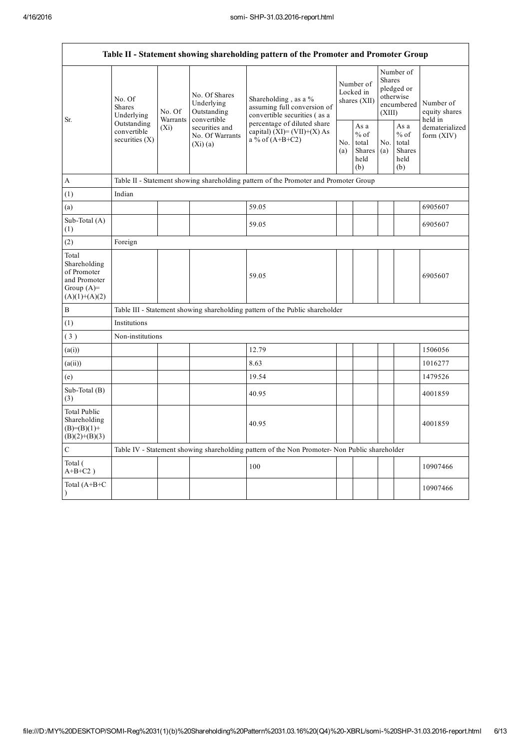| Table II - Statement showing shareholding pattern of the Promoter and Promoter Group    |                                                                                       |                     |                                                           |                                                                                               |  |                                                  |            |                                                                        |                                       |  |  |
|-----------------------------------------------------------------------------------------|---------------------------------------------------------------------------------------|---------------------|-----------------------------------------------------------|-----------------------------------------------------------------------------------------------|--|--------------------------------------------------|------------|------------------------------------------------------------------------|---------------------------------------|--|--|
| Sr.                                                                                     | No. Of<br><b>Shares</b><br>Underlying<br>Outstanding<br>convertible<br>securities (X) | No. Of              | No. Of Shares<br>Underlying<br>Outstanding<br>convertible | Shareholding, as a %<br>assuming full conversion of<br>convertible securities (as a           |  | Number of<br>Locked in<br>shares $(XII)$         |            | Number of<br>Shares<br>pledged or<br>otherwise<br>encumbered<br>(XIII) | Number of<br>equity shares<br>held in |  |  |
|                                                                                         |                                                                                       | Warrants<br>$(X_i)$ | securities and<br>No. Of Warrants<br>$(Xi)$ $(a)$         | percentage of diluted share<br>capital) $(XI) = (VII)+(X) As$<br>$a\%$ of $(A+B+C2)$          |  | As a<br>$%$ of<br>total<br>Shares<br>held<br>(b) | No.<br>(a) | As a<br>$%$ of<br>total<br><b>Shares</b><br>held<br>(b)                | dematerialized<br>form (XIV)          |  |  |
| A                                                                                       | Table II - Statement showing shareholding pattern of the Promoter and Promoter Group  |                     |                                                           |                                                                                               |  |                                                  |            |                                                                        |                                       |  |  |
| (1)                                                                                     | Indian                                                                                |                     |                                                           |                                                                                               |  |                                                  |            |                                                                        |                                       |  |  |
| (a)                                                                                     |                                                                                       |                     |                                                           | 59.05                                                                                         |  |                                                  |            |                                                                        | 6905607                               |  |  |
| Sub-Total (A)<br>(1)                                                                    |                                                                                       |                     |                                                           | 59.05                                                                                         |  |                                                  |            |                                                                        | 6905607                               |  |  |
| (2)                                                                                     | Foreign                                                                               |                     |                                                           |                                                                                               |  |                                                  |            |                                                                        |                                       |  |  |
| Total<br>Shareholding<br>of Promoter<br>and Promoter<br>Group $(A)=$<br>$(A)(1)+(A)(2)$ |                                                                                       |                     |                                                           | 59.05                                                                                         |  |                                                  |            |                                                                        | 6905607                               |  |  |
| $\, {\bf B}$                                                                            |                                                                                       |                     |                                                           | Table III - Statement showing shareholding pattern of the Public shareholder                  |  |                                                  |            |                                                                        |                                       |  |  |
| (1)                                                                                     | Institutions                                                                          |                     |                                                           |                                                                                               |  |                                                  |            |                                                                        |                                       |  |  |
| (3)                                                                                     | Non-institutions                                                                      |                     |                                                           |                                                                                               |  |                                                  |            |                                                                        |                                       |  |  |
| (a(i))                                                                                  |                                                                                       |                     |                                                           | 12.79                                                                                         |  |                                                  |            |                                                                        | 1506056                               |  |  |
| (a(ii))                                                                                 |                                                                                       |                     |                                                           | 8.63                                                                                          |  |                                                  |            |                                                                        | 1016277                               |  |  |
| (e)                                                                                     |                                                                                       |                     |                                                           | 19.54                                                                                         |  |                                                  |            |                                                                        | 1479526                               |  |  |
| Sub-Total (B)<br>(3)                                                                    |                                                                                       |                     |                                                           | 40.95                                                                                         |  |                                                  |            |                                                                        | 4001859                               |  |  |
| <b>Total Public</b><br>Shareholding<br>$(B)= (B)(1) +$<br>$(B)(2)+(B)(3)$               |                                                                                       |                     |                                                           | 40.95                                                                                         |  |                                                  |            |                                                                        | 4001859                               |  |  |
| $\mathbf C$                                                                             |                                                                                       |                     |                                                           | Table IV - Statement showing shareholding pattern of the Non Promoter- Non Public shareholder |  |                                                  |            |                                                                        |                                       |  |  |
| Total (<br>$A+B+C2$ )                                                                   |                                                                                       |                     |                                                           | 100                                                                                           |  |                                                  |            |                                                                        | 10907466                              |  |  |
| Total (A+B+C<br>$\mathcal{L}$                                                           |                                                                                       |                     |                                                           |                                                                                               |  |                                                  |            |                                                                        | 10907466                              |  |  |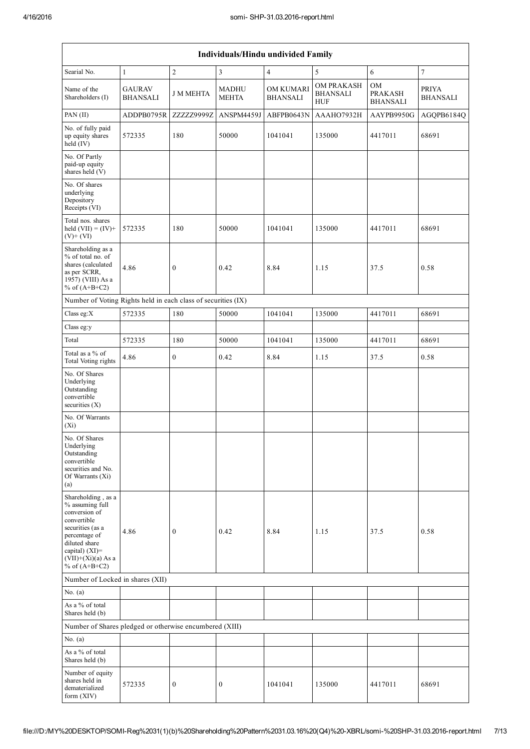|                                                                                                                                                                                          | Individuals/Hindu undivided Family |                  |                              |                                     |                                             |                                  |                          |  |  |
|------------------------------------------------------------------------------------------------------------------------------------------------------------------------------------------|------------------------------------|------------------|------------------------------|-------------------------------------|---------------------------------------------|----------------------------------|--------------------------|--|--|
| Searial No.                                                                                                                                                                              | $\mathbf{1}$                       | $\overline{2}$   | 3                            | $\overline{4}$                      | 5                                           | 6                                | 7                        |  |  |
| Name of the<br>Shareholders (I)                                                                                                                                                          | <b>GAURAV</b><br><b>BHANSALI</b>   | <b>J M MEHTA</b> | <b>MADHU</b><br><b>MEHTA</b> | <b>OM KUMARI</b><br><b>BHANSALI</b> | OM PRAKASH<br><b>BHANSALI</b><br><b>HUF</b> | OM<br><b>PRAKASH</b><br>BHANSALI | PRIYA<br><b>BHANSALI</b> |  |  |
| PAN (II)                                                                                                                                                                                 | ADDPB0795R                         | ZZZZZ9999Z       | ANSPM4459J                   | ABFPB0643N                          | AAAHO7932H                                  | AAYPB9950G                       | AGQPB6184Q               |  |  |
| No. of fully paid<br>up equity shares<br>held $(IV)$                                                                                                                                     | 572335                             | 180              | 50000                        | 1041041                             | 135000                                      | 4417011                          | 68691                    |  |  |
| No. Of Partly<br>paid-up equity<br>shares held (V)                                                                                                                                       |                                    |                  |                              |                                     |                                             |                                  |                          |  |  |
| No. Of shares<br>underlying<br>Depository<br>Receipts (VI)                                                                                                                               |                                    |                  |                              |                                     |                                             |                                  |                          |  |  |
| Total nos. shares<br>held $(VII) = (IV) +$<br>$(V)+(VI)$                                                                                                                                 | 572335                             | 180              | 50000                        | 1041041                             | 135000                                      | 4417011                          | 68691                    |  |  |
| Shareholding as a<br>% of total no. of<br>shares (calculated<br>as per SCRR,<br>1957) (VIII) As a<br>% of $(A+B+C2)$                                                                     | 4.86                               | $\boldsymbol{0}$ | 0.42                         | 8.84                                | 1.15                                        | 37.5                             | 0.58                     |  |  |
| Number of Voting Rights held in each class of securities (IX)                                                                                                                            |                                    |                  |                              |                                     |                                             |                                  |                          |  |  |
| Class eg:X                                                                                                                                                                               | 572335                             | 180              | 50000                        | 1041041                             | 135000                                      | 4417011                          | 68691                    |  |  |
| Class eg:y                                                                                                                                                                               |                                    |                  |                              |                                     |                                             |                                  |                          |  |  |
| Total                                                                                                                                                                                    | 572335                             | 180              | 50000                        | 1041041                             | 135000                                      | 4417011                          | 68691                    |  |  |
| Total as a % of<br>Total Voting rights                                                                                                                                                   | 4.86                               | $\boldsymbol{0}$ | 0.42                         | 8.84                                | 1.15                                        | 37.5                             | 0.58                     |  |  |
| No. Of Shares<br>Underlying<br>Outstanding<br>convertible<br>securities $(X)$                                                                                                            |                                    |                  |                              |                                     |                                             |                                  |                          |  |  |
| No. Of Warrants<br>$(X_i)$                                                                                                                                                               |                                    |                  |                              |                                     |                                             |                                  |                          |  |  |
| No. Of Shares<br>Underlying<br>Outstanding<br>convertible<br>securities and No.<br>Of Warrants (Xi)<br>(a)                                                                               |                                    |                  |                              |                                     |                                             |                                  |                          |  |  |
| Shareholding, as a<br>% assuming full<br>conversion of<br>convertible<br>securities (as a<br>percentage of<br>diluted share<br>capital) (XI)=<br>$(VII)+(Xi)(a) As a$<br>% of $(A+B+C2)$ | 4.86                               | $\mathbf{0}$     | 0.42                         | 8.84                                | 1.15                                        | 37.5                             | 0.58                     |  |  |
| Number of Locked in shares (XII)                                                                                                                                                         |                                    |                  |                              |                                     |                                             |                                  |                          |  |  |
| No. $(a)$                                                                                                                                                                                |                                    |                  |                              |                                     |                                             |                                  |                          |  |  |
| As a % of total<br>Shares held (b)                                                                                                                                                       |                                    |                  |                              |                                     |                                             |                                  |                          |  |  |
| Number of Shares pledged or otherwise encumbered (XIII)                                                                                                                                  |                                    |                  |                              |                                     |                                             |                                  |                          |  |  |
| No. $(a)$                                                                                                                                                                                |                                    |                  |                              |                                     |                                             |                                  |                          |  |  |
| As a % of total<br>Shares held (b)                                                                                                                                                       |                                    |                  |                              |                                     |                                             |                                  |                          |  |  |
| Number of equity<br>shares held in<br>dematerialized<br>form (XIV)                                                                                                                       | 572335                             | $\boldsymbol{0}$ | 0                            | 1041041                             | 135000                                      | 4417011                          | 68691                    |  |  |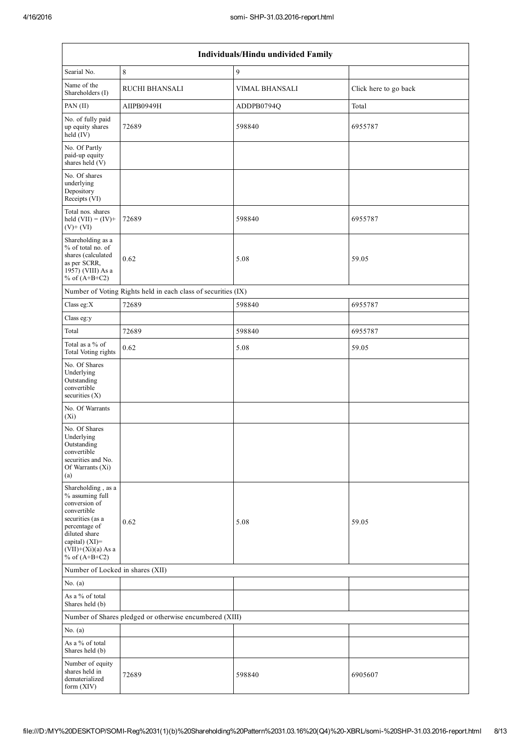| Individuals/Hindu undivided Family                                                                                                                                                          |                                                               |                       |                       |  |  |  |  |  |  |
|---------------------------------------------------------------------------------------------------------------------------------------------------------------------------------------------|---------------------------------------------------------------|-----------------------|-----------------------|--|--|--|--|--|--|
| Searial No.                                                                                                                                                                                 | 8                                                             | 9                     |                       |  |  |  |  |  |  |
| Name of the<br>Shareholders (I)                                                                                                                                                             | <b>RUCHI BHANSALI</b>                                         | <b>VIMAL BHANSALI</b> | Click here to go back |  |  |  |  |  |  |
| PAN (II)                                                                                                                                                                                    | AIIPB0949H                                                    | ADDPB0794Q            | Total                 |  |  |  |  |  |  |
| No. of fully paid<br>up equity shares<br>held (IV)                                                                                                                                          | 72689                                                         | 598840                | 6955787               |  |  |  |  |  |  |
| No. Of Partly<br>paid-up equity<br>shares held (V)                                                                                                                                          |                                                               |                       |                       |  |  |  |  |  |  |
| No. Of shares<br>underlying<br>Depository<br>Receipts (VI)                                                                                                                                  |                                                               |                       |                       |  |  |  |  |  |  |
| Total nos. shares<br>held $(VII) = (IV) +$<br>$(V)+(VI)$                                                                                                                                    | 72689                                                         | 598840                | 6955787               |  |  |  |  |  |  |
| Shareholding as a<br>% of total no. of<br>shares (calculated<br>as per SCRR,<br>1957) (VIII) As a<br>% of $(A+B+C2)$                                                                        | 0.62                                                          | 5.08                  | 59.05                 |  |  |  |  |  |  |
|                                                                                                                                                                                             | Number of Voting Rights held in each class of securities (IX) |                       |                       |  |  |  |  |  |  |
| Class eg: $X$                                                                                                                                                                               | 72689                                                         | 598840                | 6955787               |  |  |  |  |  |  |
| Class eg:y                                                                                                                                                                                  |                                                               |                       |                       |  |  |  |  |  |  |
| Total                                                                                                                                                                                       | 72689                                                         | 598840                | 6955787               |  |  |  |  |  |  |
| Total as a % of<br>Total Voting rights                                                                                                                                                      | 0.62                                                          | 5.08                  | 59.05                 |  |  |  |  |  |  |
| No. Of Shares<br>Underlying<br>Outstanding<br>convertible<br>securities $(X)$                                                                                                               |                                                               |                       |                       |  |  |  |  |  |  |
| No. Of Warrants<br>$(X_i)$                                                                                                                                                                  |                                                               |                       |                       |  |  |  |  |  |  |
| No. Of Shares<br>Underlying<br>Outstanding<br>convertible<br>securities and No.<br>Of Warrants $(X_i)$<br>(a)                                                                               |                                                               |                       |                       |  |  |  |  |  |  |
| Shareholding, as a<br>% assuming full<br>conversion of<br>convertible<br>securities (as a<br>percentage of<br>diluted share<br>capital) $(XI)$ =<br>$(VII)+(Xi)(a)$ As a<br>% of $(A+B+C2)$ | 0.62                                                          | 5.08                  | 59.05                 |  |  |  |  |  |  |
| Number of Locked in shares (XII)                                                                                                                                                            |                                                               |                       |                       |  |  |  |  |  |  |
| No. $(a)$                                                                                                                                                                                   |                                                               |                       |                       |  |  |  |  |  |  |
| As a % of total<br>Shares held (b)                                                                                                                                                          |                                                               |                       |                       |  |  |  |  |  |  |
|                                                                                                                                                                                             | Number of Shares pledged or otherwise encumbered (XIII)       |                       |                       |  |  |  |  |  |  |
| No. $(a)$                                                                                                                                                                                   |                                                               |                       |                       |  |  |  |  |  |  |
| As a $\%$ of total<br>Shares held (b)                                                                                                                                                       |                                                               |                       |                       |  |  |  |  |  |  |
| Number of equity<br>shares held in<br>dematerialized<br>form (XIV)                                                                                                                          | 72689                                                         | 598840                | 6905607               |  |  |  |  |  |  |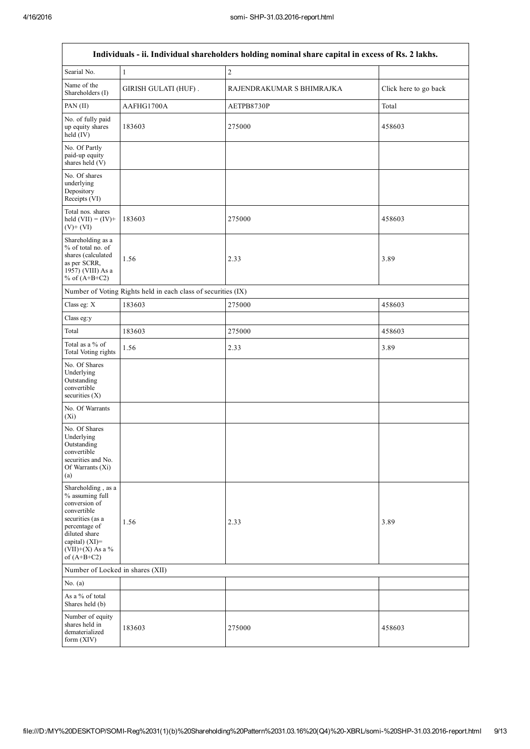$\Gamma$ 

٦

|                                                                                                                                                                                         | Individuals - ii. Individual shareholders holding nominal share capital in excess of Rs. 2 lakhs. |                           |                       |  |  |  |  |  |  |
|-----------------------------------------------------------------------------------------------------------------------------------------------------------------------------------------|---------------------------------------------------------------------------------------------------|---------------------------|-----------------------|--|--|--|--|--|--|
| Searial No.                                                                                                                                                                             | $\mathbf{1}$                                                                                      | $\sqrt{2}$                |                       |  |  |  |  |  |  |
| Name of the<br>Shareholders (I)                                                                                                                                                         | <b>GIRISH GULATI (HUF).</b>                                                                       | RAJENDRAKUMAR S BHIMRAJKA | Click here to go back |  |  |  |  |  |  |
| PAN (II)                                                                                                                                                                                | AAFHG1700A                                                                                        | AETPB8730P                | Total                 |  |  |  |  |  |  |
| No. of fully paid<br>up equity shares<br>held (IV)                                                                                                                                      | 183603                                                                                            | 275000                    | 458603                |  |  |  |  |  |  |
| No. Of Partly<br>paid-up equity<br>shares held (V)                                                                                                                                      |                                                                                                   |                           |                       |  |  |  |  |  |  |
| No. Of shares<br>underlying<br>Depository<br>Receipts (VI)                                                                                                                              |                                                                                                   |                           |                       |  |  |  |  |  |  |
| Total nos. shares<br>held $(VII) = (IV) +$<br>$(V)+(VI)$                                                                                                                                | 183603                                                                                            | 275000                    | 458603                |  |  |  |  |  |  |
| Shareholding as a<br>% of total no. of<br>shares (calculated<br>as per SCRR,<br>1957) (VIII) As a<br>% of $(A+B+C2)$                                                                    | 1.56                                                                                              | 2.33                      | 3.89                  |  |  |  |  |  |  |
|                                                                                                                                                                                         | Number of Voting Rights held in each class of securities (IX)                                     |                           |                       |  |  |  |  |  |  |
| Class eg: X                                                                                                                                                                             | 183603                                                                                            | 275000                    | 458603                |  |  |  |  |  |  |
| Class eg:y                                                                                                                                                                              |                                                                                                   |                           |                       |  |  |  |  |  |  |
| Total                                                                                                                                                                                   | 183603                                                                                            | 275000                    | 458603                |  |  |  |  |  |  |
| Total as a % of<br><b>Total Voting rights</b>                                                                                                                                           | 1.56                                                                                              | 2.33                      | 3.89                  |  |  |  |  |  |  |
| No. Of Shares<br>Underlying<br>Outstanding<br>convertible<br>securities $(X)$                                                                                                           |                                                                                                   |                           |                       |  |  |  |  |  |  |
| No. Of Warrants<br>$(X_i)$                                                                                                                                                              |                                                                                                   |                           |                       |  |  |  |  |  |  |
| No. Of Shares<br>Underlying<br>Outstanding<br>convertible<br>securities and No.<br>Of Warrants (Xi)<br>(a)                                                                              |                                                                                                   |                           |                       |  |  |  |  |  |  |
| Shareholding, as a<br>% assuming full<br>conversion of<br>convertible<br>securities (as a<br>percentage of<br>diluted share<br>capital) $(XI)$ =<br>$(VII)+(X)$ As a %<br>of $(A+B+C2)$ | 1.56                                                                                              | 2.33                      | 3.89                  |  |  |  |  |  |  |
| Number of Locked in shares (XII)                                                                                                                                                        |                                                                                                   |                           |                       |  |  |  |  |  |  |
| No. $(a)$                                                                                                                                                                               |                                                                                                   |                           |                       |  |  |  |  |  |  |
| As a % of total<br>Shares held (b)                                                                                                                                                      |                                                                                                   |                           |                       |  |  |  |  |  |  |
| Number of equity<br>shares held in<br>dematerialized<br>form $(XIV)$                                                                                                                    | 183603                                                                                            | 275000                    | 458603                |  |  |  |  |  |  |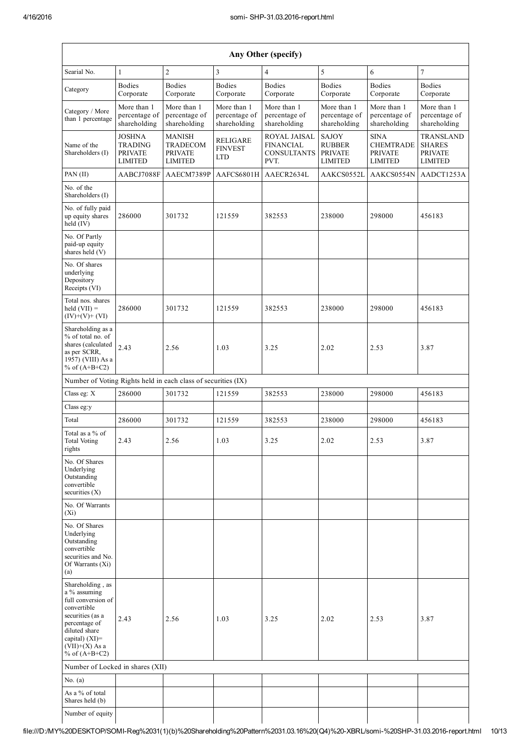|                                                                                                                                                                                         | Any Other (specify)                                                 |                                                               |                                              |                                                                |                                                                   |                                                                     |                                                                       |  |  |  |
|-----------------------------------------------------------------------------------------------------------------------------------------------------------------------------------------|---------------------------------------------------------------------|---------------------------------------------------------------|----------------------------------------------|----------------------------------------------------------------|-------------------------------------------------------------------|---------------------------------------------------------------------|-----------------------------------------------------------------------|--|--|--|
| Searial No.                                                                                                                                                                             | $\mathbf{1}$                                                        | $\overline{2}$                                                | 3                                            | $\overline{4}$                                                 | 5                                                                 | 6                                                                   | $\overline{7}$                                                        |  |  |  |
| Category                                                                                                                                                                                | <b>Bodies</b><br>Corporate                                          | <b>Bodies</b><br>Corporate                                    | <b>Bodies</b><br>Corporate                   | <b>Bodies</b><br>Corporate                                     | <b>Bodies</b><br>Corporate                                        | <b>Bodies</b><br>Corporate                                          | <b>Bodies</b><br>Corporate                                            |  |  |  |
| Category / More<br>than 1 percentage                                                                                                                                                    | More than 1<br>percentage of<br>shareholding                        | More than 1<br>percentage of<br>shareholding                  | More than 1<br>percentage of<br>shareholding | More than 1<br>percentage of<br>shareholding                   | More than 1<br>percentage of<br>shareholding                      | More than 1<br>percentage of<br>shareholding                        | More than 1<br>percentage of<br>shareholding                          |  |  |  |
| Name of the<br>Shareholders (I)                                                                                                                                                         | <b>JOSHNA</b><br><b>TRADING</b><br><b>PRIVATE</b><br><b>LIMITED</b> | MANISH<br><b>TRADECOM</b><br><b>PRIVATE</b><br><b>LIMITED</b> | RELIGARE<br><b>FINVEST</b><br><b>LTD</b>     | ROYAL JAISAL<br><b>FINANCIAL</b><br><b>CONSULTANTS</b><br>PVT. | <b>SAJOY</b><br><b>RUBBER</b><br><b>PRIVATE</b><br><b>LIMITED</b> | <b>SINA</b><br><b>CHEMTRADE</b><br><b>PRIVATE</b><br><b>LIMITED</b> | <b>TRANSLAND</b><br><b>SHARES</b><br><b>PRIVATE</b><br><b>LIMITED</b> |  |  |  |
| PAN (II)                                                                                                                                                                                | AABCJ7088F                                                          | AAECM7389P                                                    | AAFCS6801H                                   | AAECR2634L                                                     | AAKCS0552L                                                        | AAKCS0554N                                                          | AADCT1253A                                                            |  |  |  |
| No. of the<br>Shareholders (I)                                                                                                                                                          |                                                                     |                                                               |                                              |                                                                |                                                                   |                                                                     |                                                                       |  |  |  |
| No. of fully paid<br>up equity shares<br>held $(IV)$                                                                                                                                    | 286000                                                              | 301732                                                        | 121559                                       | 382553                                                         | 238000                                                            | 298000                                                              | 456183                                                                |  |  |  |
| No. Of Partly<br>paid-up equity<br>shares held (V)                                                                                                                                      |                                                                     |                                                               |                                              |                                                                |                                                                   |                                                                     |                                                                       |  |  |  |
| No. Of shares<br>underlying<br>Depository<br>Receipts (VI)                                                                                                                              |                                                                     |                                                               |                                              |                                                                |                                                                   |                                                                     |                                                                       |  |  |  |
| Total nos. shares<br>held $(VII) =$<br>$(IV)+(V)+(VI)$                                                                                                                                  | 286000                                                              | 301732                                                        | 121559                                       | 382553                                                         | 238000                                                            | 298000                                                              | 456183                                                                |  |  |  |
| Shareholding as a<br>% of total no. of<br>shares (calculated<br>as per SCRR,<br>1957) (VIII) As a<br>% of $(A+B+C2)$                                                                    | 2.43                                                                | 2.56                                                          | 1.03                                         | 3.25                                                           | 2.02                                                              | 2.53                                                                | 3.87                                                                  |  |  |  |
| Number of Voting Rights held in each class of securities (IX)                                                                                                                           |                                                                     |                                                               |                                              |                                                                |                                                                   |                                                                     |                                                                       |  |  |  |
| Class eg: X                                                                                                                                                                             | 286000                                                              | 301732                                                        | 121559                                       | 382553                                                         | 238000                                                            | 298000                                                              | 456183                                                                |  |  |  |
| Class eg:y                                                                                                                                                                              |                                                                     |                                                               |                                              |                                                                |                                                                   |                                                                     |                                                                       |  |  |  |
| Total                                                                                                                                                                                   | 286000                                                              | 301732                                                        | 121559                                       | 382553                                                         | 238000                                                            | 298000                                                              | 456183                                                                |  |  |  |
| Total as a % of<br><b>Total Voting</b><br>rights                                                                                                                                        | 2.43                                                                | 2.56                                                          | 1.03                                         | 3.25                                                           | 2.02                                                              | 2.53                                                                | 3.87                                                                  |  |  |  |
| No. Of Shares<br>Underlying<br>Outstanding<br>convertible<br>securities $(X)$                                                                                                           |                                                                     |                                                               |                                              |                                                                |                                                                   |                                                                     |                                                                       |  |  |  |
| No. Of Warrants<br>$(X_i)$                                                                                                                                                              |                                                                     |                                                               |                                              |                                                                |                                                                   |                                                                     |                                                                       |  |  |  |
| No. Of Shares<br>Underlying<br>Outstanding<br>convertible<br>securities and No.<br>Of Warrants (Xi)<br>(a)                                                                              |                                                                     |                                                               |                                              |                                                                |                                                                   |                                                                     |                                                                       |  |  |  |
| Shareholding, as<br>a % assuming<br>full conversion of<br>convertible<br>securities (as a<br>percentage of<br>diluted share<br>capital) $(XI)$ =<br>$(VII)+(X)$ As a<br>% of $(A+B+C2)$ | 2.43                                                                | 2.56                                                          | 1.03                                         | 3.25                                                           | 2.02                                                              | 2.53                                                                | 3.87                                                                  |  |  |  |
| Number of Locked in shares (XII)                                                                                                                                                        |                                                                     |                                                               |                                              |                                                                |                                                                   |                                                                     |                                                                       |  |  |  |
| No. $(a)$                                                                                                                                                                               |                                                                     |                                                               |                                              |                                                                |                                                                   |                                                                     |                                                                       |  |  |  |
| As a % of total<br>Shares held (b)                                                                                                                                                      |                                                                     |                                                               |                                              |                                                                |                                                                   |                                                                     |                                                                       |  |  |  |
| Number of equity                                                                                                                                                                        |                                                                     |                                                               |                                              |                                                                |                                                                   |                                                                     |                                                                       |  |  |  |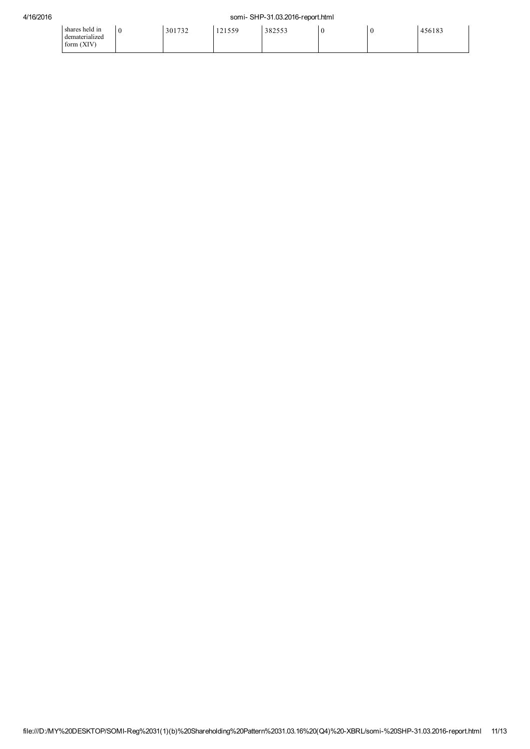| $\cdots$<br>shares held in<br>$\cdots$<br>dematerialized<br><b>XIV</b><br>$\sim$ | C | 301732 | 121550<br>$1 + 1 - 1$<br>$\sim$ | 382553 |  | 456183 |
|----------------------------------------------------------------------------------|---|--------|---------------------------------|--------|--|--------|
| torm (                                                                           |   |        |                                 |        |  |        |